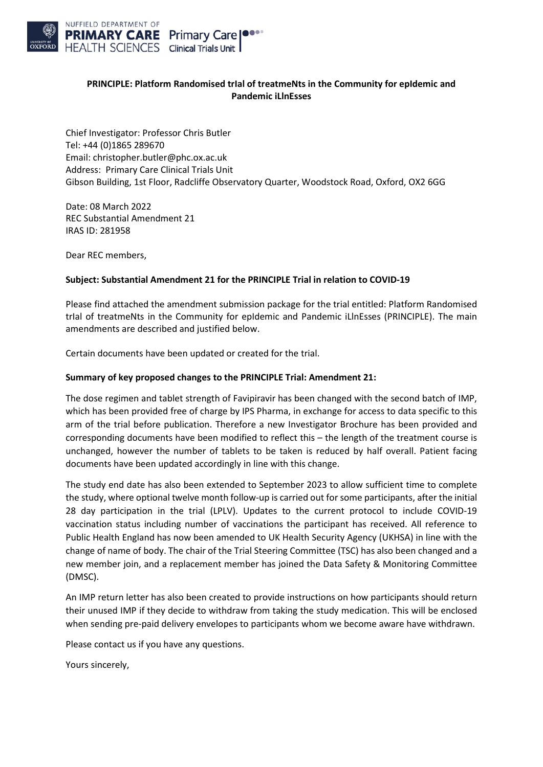

## **PRINCIPLE: Platform Randomised trIal of treatmeNts in the Community for epIdemic and Pandemic iLlnEsses**

Chief Investigator: Professor Chris Butler Tel: +44 (0)1865 289670 Email: [christopher.butler@phc.ox.ac.uk](mailto:christopher.butler@phc.ox.ac.uk) Address: Primary Care Clinical Trials Unit Gibson Building, 1st Floor, Radcliffe Observatory Quarter, Woodstock Road, Oxford, OX2 6GG

Date: 08 March 2022 REC Substantial Amendment 21 IRAS ID: 281958

Dear REC members,

## **Subject: Substantial Amendment 21 for the PRINCIPLE Trial in relation to COVID-19**

Please find attached the amendment submission package for the trial entitled: Platform Randomised trIal of treatmeNts in the Community for epIdemic and Pandemic iLlnEsses (PRINCIPLE). The main amendments are described and justified below.

Certain documents have been updated or created for the trial.

## **Summary of key proposed changes to the PRINCIPLE Trial: Amendment 21:**

The dose regimen and tablet strength of Favipiravir has been changed with the second batch of IMP, which has been provided free of charge by IPS Pharma, in exchange for access to data specific to this arm of the trial before publication. Therefore a new Investigator Brochure has been provided and corresponding documents have been modified to reflect this – the length of the treatment course is unchanged, however the number of tablets to be taken is reduced by half overall. Patient facing documents have been updated accordingly in line with this change.

The study end date has also been extended to September 2023 to allow sufficient time to complete the study, where optional twelve month follow-up is carried out for some participants, after the initial 28 day participation in the trial (LPLV). Updates to the current protocol to include COVID-19 vaccination status including number of vaccinations the participant has received. All reference to Public Health England has now been amended to UK Health Security Agency (UKHSA) in line with the change of name of body. The chair of the Trial Steering Committee (TSC) has also been changed and a new member join, and a replacement member has joined the Data Safety & Monitoring Committee (DMSC).

An IMP return letter has also been created to provide instructions on how participants should return their unused IMP if they decide to withdraw from taking the study medication. This will be enclosed when sending pre-paid delivery envelopes to participants whom we become aware have withdrawn.

Please contact us if you have any questions.

Yours sincerely,